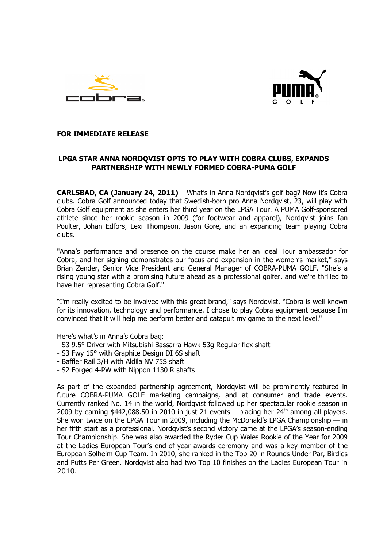



# **FOR IMMEDIATE RELEASE**

# **LPGA STAR ANNA NORDQVIST OPTS TO PLAY WITH COBRA CLUBS, EXPANDS PARTNERSHIP WITH NEWLY FORMED COBRA-PUMA GOLF**

**CARLSBAD, CA (January 24, 2011)** – What's in Anna Nordqvist's golf bag? Now it's Cobra clubs. Cobra Golf announced today that Swedish-born pro Anna Nordqvist, 23, will play with Cobra Golf equipment as she enters her third year on the LPGA Tour. A PUMA Golf-sponsored athlete since her rookie season in 2009 (for footwear and apparel), Nordqvist joins Ian Poulter, Johan Edfors, Lexi Thompson, Jason Gore, and an expanding team playing Cobra clubs.

"Anna's performance and presence on the course make her an ideal Tour ambassador for Cobra, and her signing demonstrates our focus and expansion in the women's market," says Brian Zender, Senior Vice President and General Manager of COBRA-PUMA GOLF. "She's a rising young star with a promising future ahead as a professional golfer, and we're thrilled to have her representing Cobra Golf."

"I'm really excited to be involved with this great brand," says Nordqvist. "Cobra is well-known for its innovation, technology and performance. I chose to play Cobra equipment because I'm convinced that it will help me perform better and catapult my game to the next level."

Here's what's in Anna's Cobra bag:

- S3 9.5° Driver with Mitsubishi Bassarra Hawk 53g Regular flex shaft
- S3 Fwy 15° with Graphite Design DI 6S shaft
- Baffler Rail 3/H with Aldila NV 75S shaft
- S2 Forged 4-PW with Nippon 1130 R shafts

As part of the expanded partnership agreement, Nordqvist will be prominently featured in future COBRA-PUMA GOLF marketing campaigns, and at consumer and trade events. Currently ranked No. 14 in the world, Nordqvist followed up her spectacular rookie season in 2009 by earning \$442,088.50 in 2010 in just 21 events – placing her  $24<sup>th</sup>$  among all players. She won twice on the LPGA Tour in 2009, including the McDonald's LPGA Championship  $-$  in her fifth start as a professional. Nordqvist's second victory came at the LPGA's season-ending Tour Championship. She was also awarded the Ryder Cup Wales Rookie of the Year for 2009 at the Ladies European Tour's end-of-year awards ceremony and was a key member of the European Solheim Cup Team. In 2010, she ranked in the Top 20 in Rounds Under Par, Birdies and Putts Per Green. Nordqvist also had two Top 10 finishes on the Ladies European Tour in 2010.